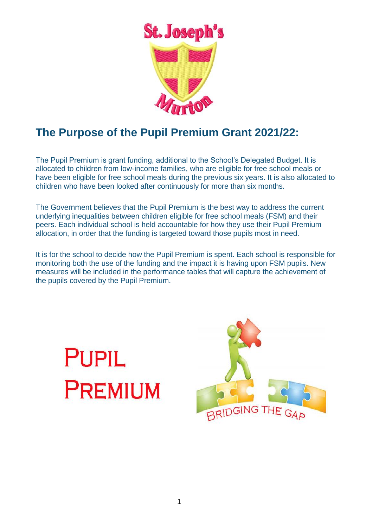

# **The Purpose of the Pupil Premium Grant 2021/22:**

The Pupil Premium is grant funding, additional to the School's Delegated Budget. It is allocated to children from low-income families, who are eligible for free school meals or have been eligible for free school meals during the previous six years. It is also allocated to children who have been looked after continuously for more than six months.

The Government believes that the Pupil Premium is the best way to address the current underlying inequalities between children eligible for free school meals (FSM) and their peers. Each individual school is held accountable for how they use their Pupil Premium allocation, in order that the funding is targeted toward those pupils most in need.

It is for the school to decide how the Pupil Premium is spent. Each school is responsible for monitoring both the use of the funding and the impact it is having upon FSM pupils. New measures will be included in the performance tables that will capture the achievement of the pupils covered by the Pupil Premium.



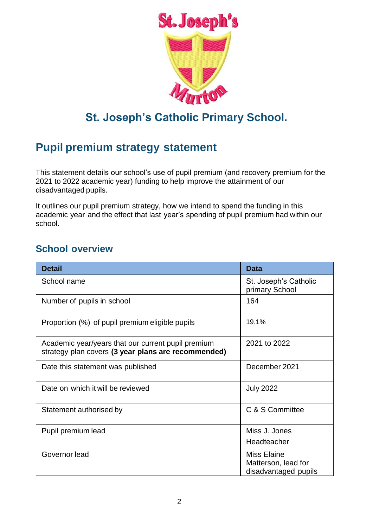

# **St. Joseph's Catholic Primary School.**

# **Pupil premium strategy statement**

This statement details our school's use of pupil premium (and recovery premium for the 2021 to 2022 academic year) funding to help improve the attainment of our disadvantaged pupils.

It outlines our pupil premium strategy, how we intend to spend the funding in this academic year and the effect that last year's spending of pupil premium had within our school.

#### **School overview**

| <b>Detail</b>                                                                                             | <b>Data</b>                                                       |
|-----------------------------------------------------------------------------------------------------------|-------------------------------------------------------------------|
| School name                                                                                               | St. Joseph's Catholic<br>primary School                           |
| Number of pupils in school                                                                                | 164                                                               |
| Proportion (%) of pupil premium eligible pupils                                                           | 19.1%                                                             |
| Academic year/years that our current pupil premium<br>strategy plan covers (3 year plans are recommended) | 2021 to 2022                                                      |
| Date this statement was published                                                                         | December 2021                                                     |
| Date on which it will be reviewed                                                                         | <b>July 2022</b>                                                  |
| Statement authorised by                                                                                   | C & S Committee                                                   |
| Pupil premium lead                                                                                        | Miss J. Jones                                                     |
|                                                                                                           | Headteacher                                                       |
| Governor lead                                                                                             | <b>Miss Elaine</b><br>Matterson, lead for<br>disadvantaged pupils |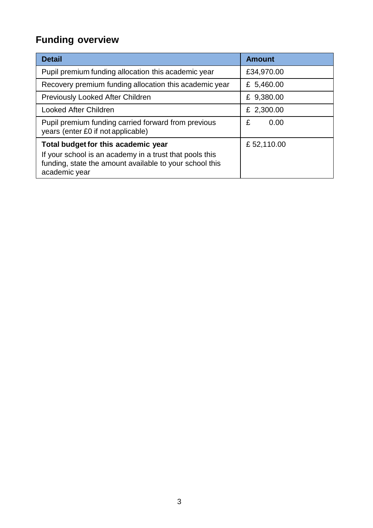# **Funding overview**

| <b>Detail</b>                                                                                                                                                              | Amount     |
|----------------------------------------------------------------------------------------------------------------------------------------------------------------------------|------------|
| Pupil premium funding allocation this academic year                                                                                                                        | £34,970.00 |
| Recovery premium funding allocation this academic year                                                                                                                     | £ 5,460.00 |
| <b>Previously Looked After Children</b>                                                                                                                                    | £ 9,380.00 |
| <b>Looked After Children</b>                                                                                                                                               | £ 2,300.00 |
| Pupil premium funding carried forward from previous<br>years (enter £0 if not applicable)                                                                                  | £<br>0.00  |
| Total budget for this academic year<br>If your school is an academy in a trust that pools this<br>funding, state the amount available to your school this<br>academic year | £52,110.00 |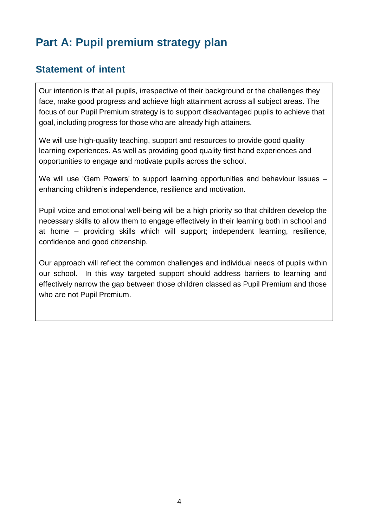# **Part A: Pupil premium strategy plan**

#### **Statement of intent**

Our intention is that all pupils, irrespective of their background or the challenges they face, make good progress and achieve high attainment across all subject areas. The focus of our Pupil Premium strategy is to support disadvantaged pupils to achieve that goal, including progress for those who are already high attainers.

We will use high-quality teaching, support and resources to provide good quality learning experiences. As well as providing good quality first hand experiences and opportunities to engage and motivate pupils across the school.

We will use 'Gem Powers' to support learning opportunities and behaviour issues – enhancing children's independence, resilience and motivation.

Pupil voice and emotional well-being will be a high priority so that children develop the necessary skills to allow them to engage effectively in their learning both in school and at home – providing skills which will support; independent learning, resilience, confidence and good citizenship.

Our approach will reflect the common challenges and individual needs of pupils within our school. In this way targeted support should address barriers to learning and effectively narrow the gap between those children classed as Pupil Premium and those who are not Pupil Premium.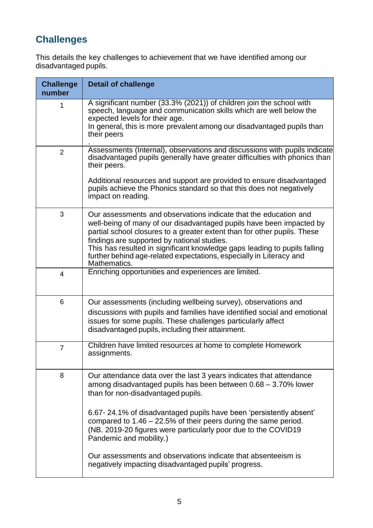## **Challenges**

This details the key challenges to achievement that we have identified among our disadvantaged pupils.

| <b>Challenge</b><br>number | <b>Detail of challenge</b>                                                                                                                                                                                                                                                                                                                                                                                                              |
|----------------------------|-----------------------------------------------------------------------------------------------------------------------------------------------------------------------------------------------------------------------------------------------------------------------------------------------------------------------------------------------------------------------------------------------------------------------------------------|
| 1                          | A significant number (33.3% (2021)) of children join the school with<br>speech, language and communication skills which are well below the<br>expected levels for their age.<br>In general, this is more prevalent among our disadvantaged pupils than<br>their peers                                                                                                                                                                   |
| $\overline{2}$             | Assessments (Internal), observations and discussions with pupils indicate<br>disadvantaged pupils generally have greater difficulties with phonics than<br>their peers.<br>Additional resources and support are provided to ensure disadvantaged<br>pupils achieve the Phonics standard so that this does not negatively<br>impact on reading.                                                                                          |
| 3                          | Our assessments and observations indicate that the education and<br>well-being of many of our disadvantaged pupils have been impacted by<br>partial school closures to a greater extent than for other pupils. These<br>findings are supported by national studies.<br>This has resulted in significant knowledge gaps leading to pupils falling<br>further behind age-related expectations, especially in Literacy and<br>Mathematics. |
| $\overline{4}$             | Enriching opportunities and experiences are limited.                                                                                                                                                                                                                                                                                                                                                                                    |
| 6                          | Our assessments (including wellbeing survey), observations and<br>discussions with pupils and families have identified social and emotional<br>issues for some pupils. These challenges particularly affect<br>disadvantaged pupils, including their attainment.                                                                                                                                                                        |
| $\overline{7}$             | Children have limited resources at home to complete Homework<br>assignments.                                                                                                                                                                                                                                                                                                                                                            |
| 8                          | Our attendance data over the last 3 years indicates that attendance<br>among disadvantaged pupils has been between 0.68 - 3.70% lower<br>than for non-disadvantaged pupils.<br>6.67-24.1% of disadvantaged pupils have been 'persistently absent'<br>compared to $1.46 - 22.5\%$ of their peers during the same period.<br>(NB. 2019-20 figures were particularly poor due to the COVID19<br>Pandemic and mobility.)                    |
|                            | Our assessments and observations indicate that absenteeism is<br>negatively impacting disadvantaged pupils' progress.                                                                                                                                                                                                                                                                                                                   |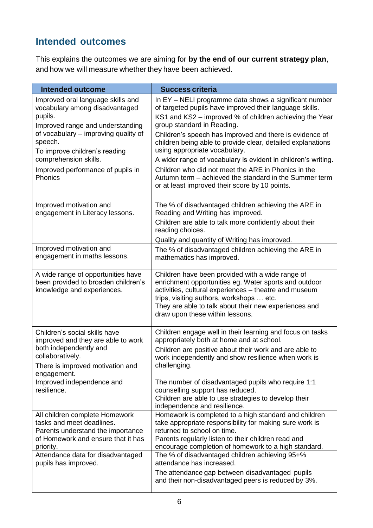### **Intended outcomes**

This explains the outcomes we are aiming for **by the end of our current strategy plan**, and how we will measure whether they have been achieved.

| <b>Intended outcome</b>                                                                                                                                                                                                         | <b>Success criteria</b>                                                                                                                                                                                                                                                                                                                                                                                                                |
|---------------------------------------------------------------------------------------------------------------------------------------------------------------------------------------------------------------------------------|----------------------------------------------------------------------------------------------------------------------------------------------------------------------------------------------------------------------------------------------------------------------------------------------------------------------------------------------------------------------------------------------------------------------------------------|
| Improved oral language skills and<br>vocabulary among disadvantaged<br>pupils.<br>Improved range and understanding<br>of vocabulary – improving quality of<br>speech.<br>To improve children's reading<br>comprehension skills. | In EY - NELI programme data shows a significant number<br>of targeted pupils have improved their language skills.<br>KS1 and KS2 – improved % of children achieving the Year<br>group standard in Reading.<br>Children's speech has improved and there is evidence of<br>children being able to provide clear, detailed explanations<br>using appropriate vocabulary.<br>A wider range of vocabulary is evident in children's writing. |
| Improved performance of pupils in<br>Phonics                                                                                                                                                                                    | Children who did not meet the ARE in Phonics in the<br>Autumn term – achieved the standard in the Summer term<br>or at least improved their score by 10 points.                                                                                                                                                                                                                                                                        |
| Improved motivation and<br>engagement in Literacy lessons.                                                                                                                                                                      | The % of disadvantaged children achieving the ARE in<br>Reading and Writing has improved.<br>Children are able to talk more confidently about their<br>reading choices.<br>Quality and quantity of Writing has improved.                                                                                                                                                                                                               |
| Improved motivation and<br>engagement in maths lessons.                                                                                                                                                                         | The % of disadvantaged children achieving the ARE in<br>mathematics has improved.                                                                                                                                                                                                                                                                                                                                                      |
| A wide range of opportunities have<br>been provided to broaden children's<br>knowledge and experiences.                                                                                                                         | Children have been provided with a wide range of<br>enrichment opportunities eg. Water sports and outdoor<br>activities, cultural experiences - theatre and museum<br>trips, visiting authors, workshops  etc.<br>They are able to talk about their new experiences and<br>draw upon these within lessons.                                                                                                                             |
| Children's social skills have<br>improved and they are able to work<br>both independently and<br>collaboratively.<br>There is improved motivation and<br>engagement.                                                            | Children engage well in their learning and focus on tasks<br>appropriately both at home and at school.<br>Children are positive about their work and are able to<br>work independently and show resilience when work is<br>challenging.                                                                                                                                                                                                |
| Improved independence and<br>resilience.                                                                                                                                                                                        | The number of disadvantaged pupils who require 1:1<br>counselling support has reduced.<br>Children are able to use strategies to develop their<br>independence and resilience.                                                                                                                                                                                                                                                         |
| All children complete Homework<br>tasks and meet deadlines.<br>Parents understand the importance<br>of Homework and ensure that it has<br>priority.                                                                             | Homework is completed to a high standard and children<br>take appropriate responsibility for making sure work is<br>returned to school on time.<br>Parents regularly listen to their children read and<br>encourage completion of homework to a high standard.                                                                                                                                                                         |
| Attendance data for disadvantaged<br>pupils has improved.                                                                                                                                                                       | The % of disadvantaged children achieving 95+%<br>attendance has increased.<br>The attendance gap between disadvantaged pupils<br>and their non-disadvantaged peers is reduced by 3%.                                                                                                                                                                                                                                                  |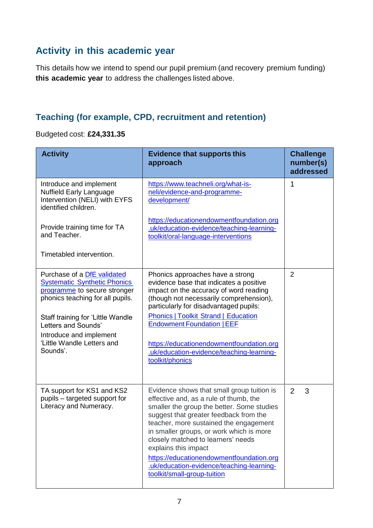### **Activity in this academic year**

This details how we intend to spend our pupil premium (and recovery premium funding) **this academic year** to address the challenges listed above.

#### **Teaching (for example, CPD, recruitment and retention)**

Budgeted cost: **£24,331.35**

| <b>Activity</b>                                                                                                                                                                                                                                                                | <b>Evidence that supports this</b><br>approach                                                                                                                                                                                                                                                                                                                                                                                                           | <b>Challenge</b><br>number(s)<br>addressed |
|--------------------------------------------------------------------------------------------------------------------------------------------------------------------------------------------------------------------------------------------------------------------------------|----------------------------------------------------------------------------------------------------------------------------------------------------------------------------------------------------------------------------------------------------------------------------------------------------------------------------------------------------------------------------------------------------------------------------------------------------------|--------------------------------------------|
| Introduce and implement<br><b>Nuffield Early Language</b><br>Intervention (NELI) with EYFS<br>identified children.                                                                                                                                                             | https://www.teachneli.org/what-is-<br>neli/evidence-and-programme-<br>development/                                                                                                                                                                                                                                                                                                                                                                       | 1                                          |
| Provide training time for TA<br>and Teacher.                                                                                                                                                                                                                                   | https://educationendowmentfoundation.org<br>.uk/education-evidence/teaching-learning-<br>toolkit/oral-language-interventions                                                                                                                                                                                                                                                                                                                             |                                            |
| Timetabled intervention.                                                                                                                                                                                                                                                       |                                                                                                                                                                                                                                                                                                                                                                                                                                                          |                                            |
| Purchase of a <b>DfE</b> validated<br><b>Systematic Synthetic Phonics</b><br>programme to secure stronger<br>phonics teaching for all pupils.<br>Staff training for 'Little Wandle<br>Letters and Sounds'<br>Introduce and implement<br>'Little Wandle Letters and<br>Sounds'. | Phonics approaches have a strong<br>evidence base that indicates a positive<br>impact on the accuracy of word reading<br>(though not necessarily comprehension),<br>particularly for disadvantaged pupils:<br><b>Phonics   Toolkit Strand   Education</b><br><b>Endowment Foundation   EEF</b><br>https://educationendowmentfoundation.org<br>.uk/education-evidence/teaching-learning-<br>toolkit/phonics                                               | $\overline{2}$                             |
| TA support for KS1 and KS2<br>pupils - targeted support for<br>Literacy and Numeracy.                                                                                                                                                                                          | Evidence shows that small group tuition is<br>effective and, as a rule of thumb, the<br>smaller the group the better. Some studies<br>suggest that greater feedback from the<br>teacher, more sustained the engagement<br>in smaller groups, or work which is more<br>closely matched to learners' needs<br>explains this impact<br>https://educationendowmentfoundation.org<br>.uk/education-evidence/teaching-learning-<br>toolkit/small-group-tuition | $\overline{2}$<br>3                        |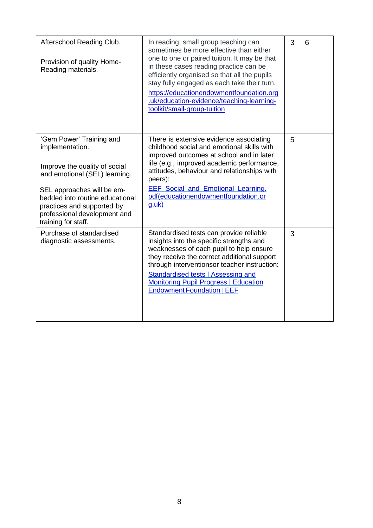| Afterschool Reading Club.<br>Provision of quality Home-<br>Reading materials.                                                                                                                                                                                       | In reading, small group teaching can<br>sometimes be more effective than either<br>one to one or paired tuition. It may be that<br>in these cases reading practice can be<br>efficiently organised so that all the pupils<br>stay fully engaged as each take their turn.<br>https://educationendowmentfoundation.org<br>.uk/education-evidence/teaching-learning-<br>toolkit/small-group-tuition | 3<br>6 |
|---------------------------------------------------------------------------------------------------------------------------------------------------------------------------------------------------------------------------------------------------------------------|--------------------------------------------------------------------------------------------------------------------------------------------------------------------------------------------------------------------------------------------------------------------------------------------------------------------------------------------------------------------------------------------------|--------|
| 'Gem Power' Training and<br>implementation.<br>Improve the quality of social<br>and emotional (SEL) learning.<br>SEL approaches will be em-<br>bedded into routine educational<br>practices and supported by<br>professional development and<br>training for staff. | There is extensive evidence associating<br>childhood social and emotional skills with<br>improved outcomes at school and in later<br>life (e.g., improved academic performance,<br>attitudes, behaviour and relationships with<br>peers):<br><b>EEF</b> Social and Emotional Learning.<br>pdf(educationendowmentfoundation.or<br><u>g.uk)</u>                                                    | 5      |
| Purchase of standardised<br>diagnostic assessments.                                                                                                                                                                                                                 | Standardised tests can provide reliable<br>insights into the specific strengths and<br>weaknesses of each pupil to help ensure<br>they receive the correct additional support<br>through interventionsor teacher instruction:<br>Standardised tests   Assessing and<br><b>Monitoring Pupil Progress   Education</b><br><b>Endowment Foundation   EEF</b>                                         | 3      |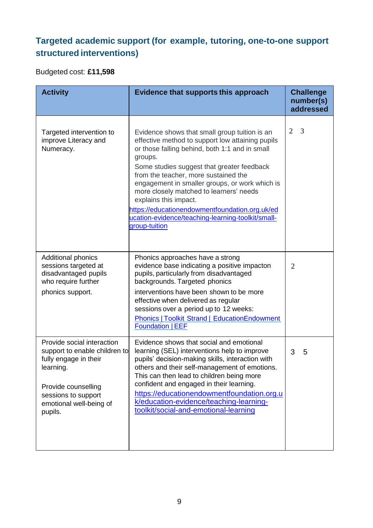## **Targeted academic support (for example, tutoring, one-to-one support structured interventions)**

Budgeted cost: **£11,598**

| <b>Activity</b>                                                                                                                                                                       | Evidence that supports this approach                                                                                                                                                                                                                                                                                                                                                                                                                                                               | <b>Challenge</b><br>number(s)<br>addressed |
|---------------------------------------------------------------------------------------------------------------------------------------------------------------------------------------|----------------------------------------------------------------------------------------------------------------------------------------------------------------------------------------------------------------------------------------------------------------------------------------------------------------------------------------------------------------------------------------------------------------------------------------------------------------------------------------------------|--------------------------------------------|
| Targeted intervention to<br>improve Literacy and<br>Numeracy.                                                                                                                         | Evidence shows that small group tuition is an<br>effective method to support low attaining pupils<br>or those falling behind, both 1:1 and in small<br>groups.<br>Some studies suggest that greater feedback<br>from the teacher, more sustained the<br>engagement in smaller groups, or work which is<br>more closely matched to learners' needs<br>explains this impact.<br>https://educationendowmentfoundation.org.uk/ed<br>ucation-evidence/teaching-learning-toolkit/small-<br>group-tuition | $\overline{2}$<br>3                        |
| <b>Additional phonics</b><br>sessions targeted at<br>disadvantaged pupils<br>who require further<br>phonics support.                                                                  | Phonics approaches have a strong<br>evidence base indicating a positive impacton<br>pupils, particularly from disadvantaged<br>backgrounds. Targeted phonics<br>interventions have been shown to be more<br>effective when delivered as regular<br>sessions over a period up to 12 weeks:<br><b>Phonics   Toolkit Strand   EducationEndowment</b><br><b>Foundation   EEF</b>                                                                                                                       | $\overline{2}$                             |
| Provide social interaction<br>support to enable children to<br>fully engage in their<br>learning.<br>Provide counselling<br>sessions to support<br>emotional well-being of<br>pupils. | Evidence shows that social and emotional<br>learning (SEL) interventions help to improve<br>pupils' decision-making skills, interaction with<br>others and their self-management of emotions.<br>This can then lead to children being more<br>confident and engaged in their learning.<br>https://educationendowmentfoundation.org.u<br>k/education-evidence/teaching-learning-<br>toolkit/social-and-emotional-learning                                                                           | 3<br>5                                     |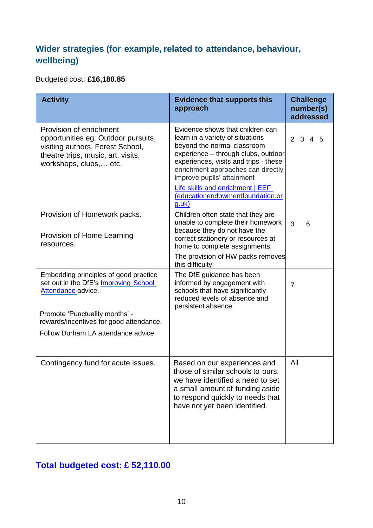### **Wider strategies (for example, related to attendance, behaviour, wellbeing)**

#### Budgeted cost: **£16,180.85**

| <b>Activity</b>                                                                                                                                                                                                          | <b>Evidence that supports this</b><br>approach                                                                                                                                                                                                                                                                                           | <b>Challenge</b><br>number(s)<br>addressed |
|--------------------------------------------------------------------------------------------------------------------------------------------------------------------------------------------------------------------------|------------------------------------------------------------------------------------------------------------------------------------------------------------------------------------------------------------------------------------------------------------------------------------------------------------------------------------------|--------------------------------------------|
| Provision of enrichment<br>opportunities eg. Outdoor pursuits,<br>visiting authors, Forest School,<br>theatre trips, music, art, visits,<br>workshops, clubs, etc.                                                       | Evidence shows that children can<br>learn in a variety of situations<br>beyond the normal classroom<br>experience - through clubs, outdoor<br>experiences, visits and trips - these<br>enrichment approaches can directly<br>improve pupils' attainment<br>Life skills and enrichment   EEF<br>(educationendowmentfoundation.or<br>g.uk) | 2 3 4 5                                    |
| Provision of Homework packs.<br>Provision of Home Learning<br>resources.                                                                                                                                                 | Children often state that they are<br>unable to complete their homework<br>because they do not have the<br>correct stationery or resources at<br>home to complete assignments.<br>The provision of HW packs removes<br>this difficulty.                                                                                                  | 3<br>6                                     |
| Embedding principles of good practice<br>set out in the DfE's Improving School<br>Attendance advice.<br>Promote 'Punctuality months' -<br>rewards/incentives for good attendance.<br>Follow Durham LA attendance advice. | The DfE guidance has been<br>informed by engagement with<br>schools that have significantly<br>reduced levels of absence and<br>persistent absence.                                                                                                                                                                                      | $\overline{7}$                             |
| Contingency fund for acute issues.                                                                                                                                                                                       | Based on our experiences and<br>those of similar schools to ours,<br>we have identified a need to set<br>a small amount of funding aside<br>to respond quickly to needs that<br>have not yet been identified.                                                                                                                            | All                                        |

## **Total budgeted cost: £ 52,110.00**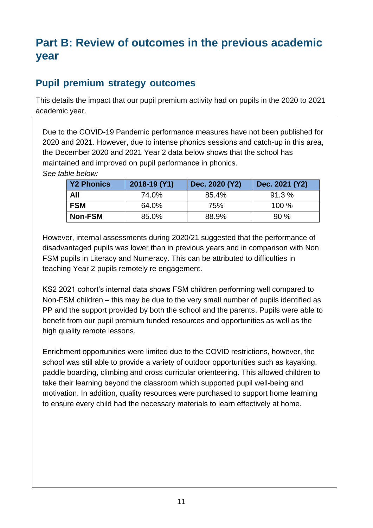# **Part B: Review of outcomes in the previous academic year**

## **Pupil premium strategy outcomes**

This details the impact that our pupil premium activity had on pupils in the 2020 to 2021 academic year.

Due to the COVID-19 Pandemic performance measures have not been published for 2020 and 2021. However, due to intense phonics sessions and catch-up in this area, the December 2020 and 2021 Year 2 data below shows that the school has maintained and improved on pupil performance in phonics. *See table below:*

| <b>Y2 Phonics</b> | 2018-19 (Y1) | Dec. 2020 (Y2) | Dec. 2021 (Y2) |
|-------------------|--------------|----------------|----------------|
| All               | 74.0%        | 85.4%          | 91.3%          |
| <b>FSM</b>        | 64.0%        | 75%            | 100%           |
| <b>Non-FSM</b>    | 85.0%        | 88.9%          | 90%            |

However, internal assessments during 2020/21 suggested that the performance of disadvantaged pupils was lower than in previous years and in comparison with Non FSM pupils in Literacy and Numeracy. This can be attributed to difficulties in teaching Year 2 pupils remotely re engagement.

KS2 2021 cohort's internal data shows FSM children performing well compared to Non-FSM children – this may be due to the very small number of pupils identified as PP and the support provided by both the school and the parents. Pupils were able to benefit from our pupil premium funded resources and opportunities as well as the high quality remote lessons.

Enrichment opportunities were limited due to the COVID restrictions, however, the school was still able to provide a variety of outdoor opportunities such as kayaking, paddle boarding, climbing and cross curricular orienteering. This allowed children to take their learning beyond the classroom which supported pupil well-being and motivation. In addition, quality resources were purchased to support home learning to ensure every child had the necessary materials to learn effectively at home.